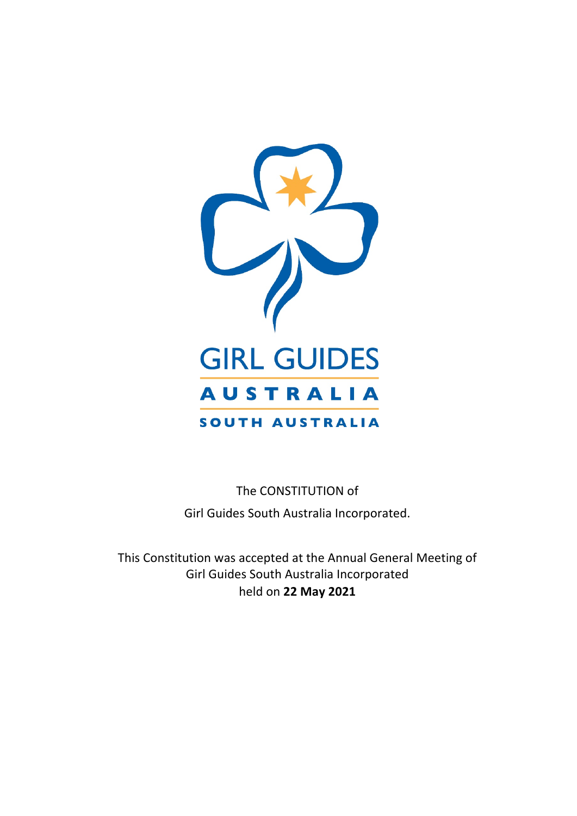

The CONSTITUTION of Girl Guides South Australia Incorporated.

This Constitution was accepted at the Annual General Meeting of Girl Guides South Australia Incorporated held on **22 May 2021**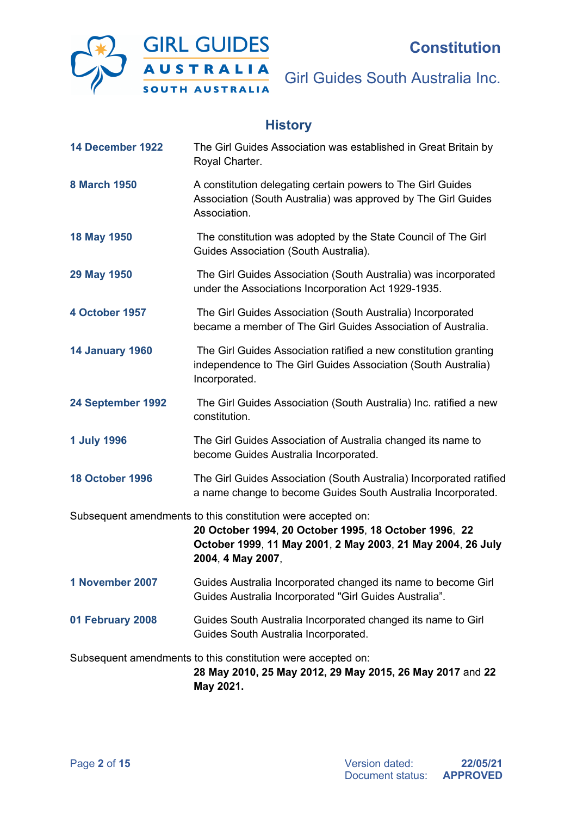

# **History**

| 14 December 1922       | The Girl Guides Association was established in Great Britain by<br>Royal Charter.                                                                                                                         |
|------------------------|-----------------------------------------------------------------------------------------------------------------------------------------------------------------------------------------------------------|
| <b>8 March 1950</b>    | A constitution delegating certain powers to The Girl Guides<br>Association (South Australia) was approved by The Girl Guides<br>Association.                                                              |
| 18 May 1950            | The constitution was adopted by the State Council of The Girl<br>Guides Association (South Australia).                                                                                                    |
| 29 May 1950            | The Girl Guides Association (South Australia) was incorporated<br>under the Associations Incorporation Act 1929-1935.                                                                                     |
| 4 October 1957         | The Girl Guides Association (South Australia) Incorporated<br>became a member of The Girl Guides Association of Australia.                                                                                |
| <b>14 January 1960</b> | The Girl Guides Association ratified a new constitution granting<br>independence to The Girl Guides Association (South Australia)<br>Incorporated.                                                        |
| 24 September 1992      | The Girl Guides Association (South Australia) Inc. ratified a new<br>constitution.                                                                                                                        |
| <b>1 July 1996</b>     | The Girl Guides Association of Australia changed its name to<br>become Guides Australia Incorporated.                                                                                                     |
| <b>18 October 1996</b> | The Girl Guides Association (South Australia) Incorporated ratified<br>a name change to become Guides South Australia Incorporated.                                                                       |
|                        | Subsequent amendments to this constitution were accepted on:<br>20 October 1994, 20 October 1995, 18 October 1996, 22<br>October 1999, 11 May 2001, 2 May 2003, 21 May 2004, 26 July<br>2004, 4 May 2007, |
| 1 November 2007        | Guides Australia Incorporated changed its name to become Girl<br>Guides Australia Incorporated "Girl Guides Australia".                                                                                   |
| 01 February 2008       | Guides South Australia Incorporated changed its name to Girl<br>Guides South Australia Incorporated.                                                                                                      |
|                        | Subsequent amendments to this constitution were accepted on:<br>28 May 2010, 25 May 2012, 29 May 2015, 26 May 2017 and 22<br>May 2021.                                                                    |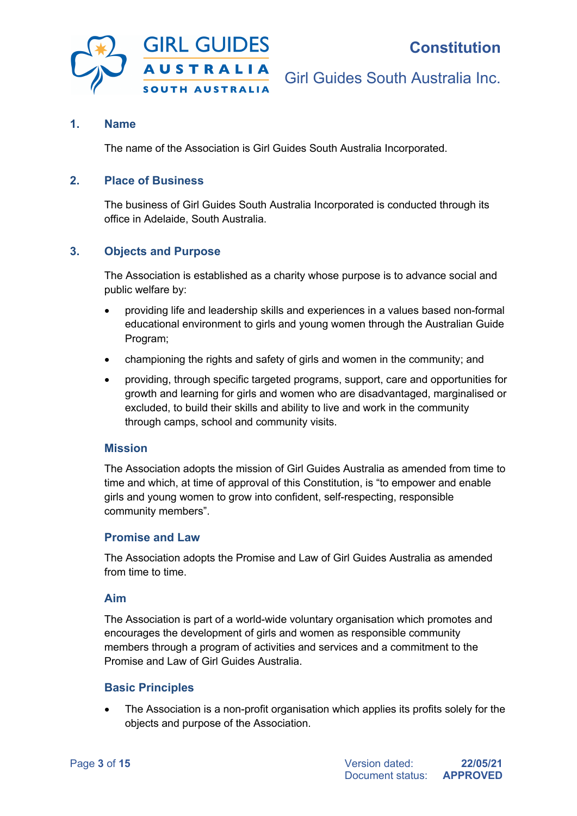

## **1. Name**

The name of the Association is Girl Guides South Australia Incorporated.

## **2. Place of Business**

The business of Girl Guides South Australia Incorporated is conducted through its office in Adelaide, South Australia.

#### **3. Objects and Purpose**

The Association is established as a charity whose purpose is to advance social and public welfare by:

- providing life and leadership skills and experiences in a values based non-formal educational environment to girls and young women through the Australian Guide Program;
- championing the rights and safety of girls and women in the community; and
- providing, through specific targeted programs, support, care and opportunities for growth and learning for girls and women who are disadvantaged, marginalised or excluded, to build their skills and ability to live and work in the community through camps, school and community visits.

#### **Mission**

The Association adopts the mission of Girl Guides Australia as amended from time to time and which, at time of approval of this Constitution, is "to empower and enable girls and young women to grow into confident, self-respecting, responsible community members".

#### **Promise and Law**

The Association adopts the Promise and Law of Girl Guides Australia as amended from time to time.

#### **Aim**

The Association is part of a world-wide voluntary organisation which promotes and encourages the development of girls and women as responsible community members through a program of activities and services and a commitment to the Promise and Law of Girl Guides Australia.

#### **Basic Principles**

The Association is a non-profit organisation which applies its profits solely for the objects and purpose of the Association.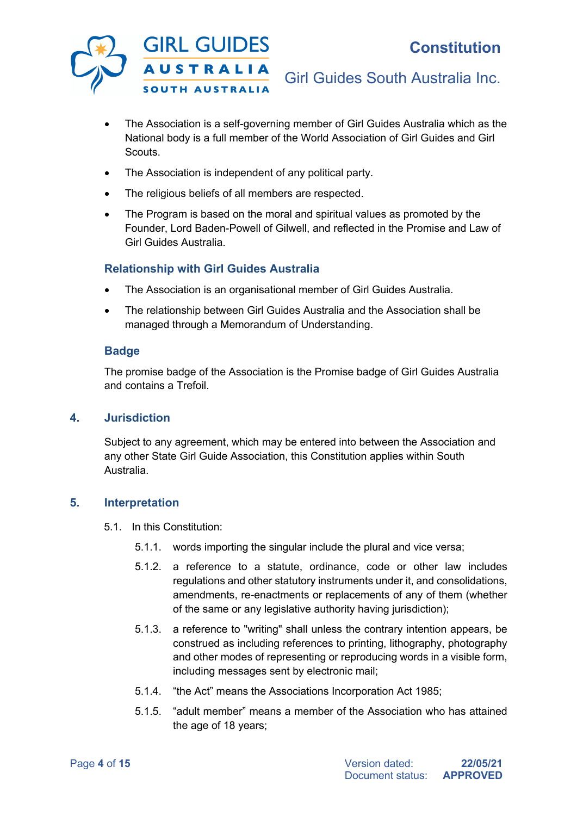

- The Association is a self-governing member of Girl Guides Australia which as the National body is a full member of the World Association of Girl Guides and Girl Scouts.
- The Association is independent of any political party.
- The religious beliefs of all members are respected.
- The Program is based on the moral and spiritual values as promoted by the Founder, Lord Baden-Powell of Gilwell, and reflected in the Promise and Law of Girl Guides Australia.

## **Relationship with Girl Guides Australia**

- The Association is an organisational member of Girl Guides Australia.
- The relationship between Girl Guides Australia and the Association shall be managed through a Memorandum of Understanding.

#### **Badge**

The promise badge of the Association is the Promise badge of Girl Guides Australia and contains a Trefoil.

#### **4. Jurisdiction**

Subject to any agreement, which may be entered into between the Association and any other State Girl Guide Association, this Constitution applies within South Australia.

#### **5. Interpretation**

- 5.1. In this Constitution:
	- 5.1.1. words importing the singular include the plural and vice versa;
	- 5.1.2. a reference to a statute, ordinance, code or other law includes regulations and other statutory instruments under it, and consolidations, amendments, re-enactments or replacements of any of them (whether of the same or any legislative authority having jurisdiction);
	- 5.1.3. a reference to "writing" shall unless the contrary intention appears, be construed as including references to printing, lithography, photography and other modes of representing or reproducing words in a visible form, including messages sent by electronic mail;
	- 5.1.4. "the Act" means the Associations Incorporation Act 1985;
	- 5.1.5. "adult member" means a member of the Association who has attained the age of 18 years;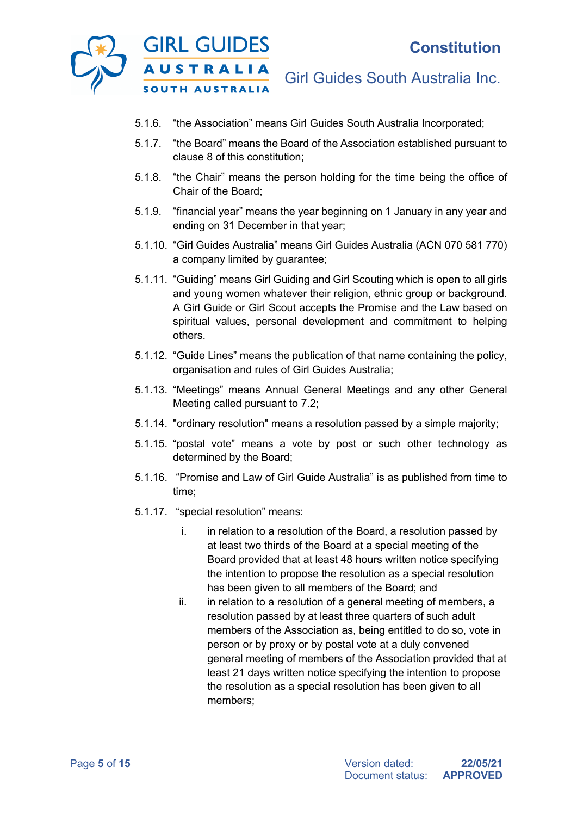

- 5.1.6. "the Association" means Girl Guides South Australia Incorporated;
- 5.1.7. "the Board" means the Board of the Association established pursuant to clause 8 of this constitution;
- 5.1.8. "the Chair" means the person holding for the time being the office of Chair of the Board;
- 5.1.9. "financial year" means the year beginning on 1 January in any year and ending on 31 December in that year;
- 5.1.10. "Girl Guides Australia" means Girl Guides Australia (ACN 070 581 770) a company limited by guarantee;
- 5.1.11. "Guiding" means Girl Guiding and Girl Scouting which is open to all girls and young women whatever their religion, ethnic group or background. A Girl Guide or Girl Scout accepts the Promise and the Law based on spiritual values, personal development and commitment to helping others.
- 5.1.12. "Guide Lines" means the publication of that name containing the policy, organisation and rules of Girl Guides Australia;
- 5.1.13. "Meetings" means Annual General Meetings and any other General Meeting called pursuant to 7.2;
- 5.1.14. "ordinary resolution" means a resolution passed by a simple majority;
- 5.1.15. "postal vote" means a vote by post or such other technology as determined by the Board;
- 5.1.16. "Promise and Law of Girl Guide Australia" is as published from time to time;
- 5.1.17. "special resolution" means:
	- i. in relation to a resolution of the Board, a resolution passed by at least two thirds of the Board at a special meeting of the Board provided that at least 48 hours written notice specifying the intention to propose the resolution as a special resolution has been given to all members of the Board; and
	- ii. in relation to a resolution of a general meeting of members, a resolution passed by at least three quarters of such adult members of the Association as, being entitled to do so, vote in person or by proxy or by postal vote at a duly convened general meeting of members of the Association provided that at least 21 days written notice specifying the intention to propose the resolution as a special resolution has been given to all members;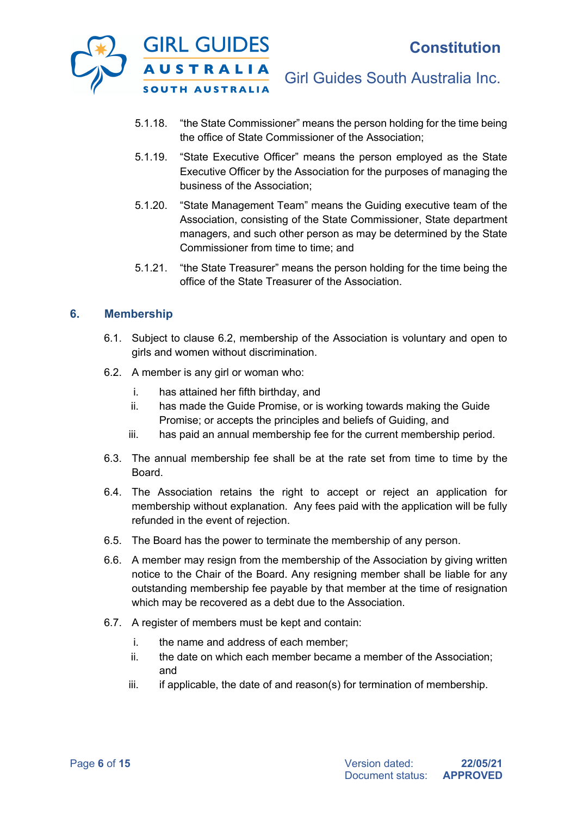

- 5.1.18. "the State Commissioner" means the person holding for the time being the office of State Commissioner of the Association;
- 5.1.19. "State Executive Officer" means the person employed as the State Executive Officer by the Association for the purposes of managing the business of the Association;
- 5.1.20. "State Management Team" means the Guiding executive team of the Association, consisting of the State Commissioner, State department managers, and such other person as may be determined by the State Commissioner from time to time; and
- 5.1.21. "the State Treasurer" means the person holding for the time being the office of the State Treasurer of the Association.

## **6. Membership**

- 6.1. Subject to clause 6.2, membership of the Association is voluntary and open to girls and women without discrimination.
- 6.2. A member is any girl or woman who:
	- i. has attained her fifth birthday, and
	- ii. has made the Guide Promise, or is working towards making the Guide Promise; or accepts the principles and beliefs of Guiding, and
	- iii. has paid an annual membership fee for the current membership period.
- 6.3. The annual membership fee shall be at the rate set from time to time by the Board.
- 6.4. The Association retains the right to accept or reject an application for membership without explanation. Any fees paid with the application will be fully refunded in the event of rejection.
- 6.5. The Board has the power to terminate the membership of any person.
- 6.6. A member may resign from the membership of the Association by giving written notice to the Chair of the Board. Any resigning member shall be liable for any outstanding membership fee payable by that member at the time of resignation which may be recovered as a debt due to the Association.
- 6.7. A register of members must be kept and contain:
	- i. the name and address of each member;
	- ii. the date on which each member became a member of the Association; and
	- $iii.$  if applicable, the date of and reason(s) for termination of membership.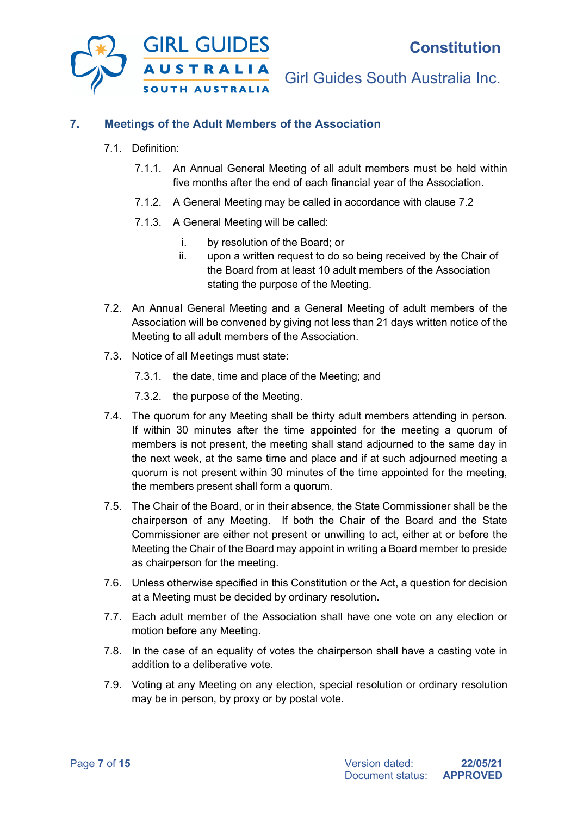

## **7. Meetings of the Adult Members of the Association**

- 7.1. Definition:
	- 7.1.1. An Annual General Meeting of all adult members must be held within five months after the end of each financial year of the Association.
	- 7.1.2. A General Meeting may be called in accordance with clause 7.2
	- 7.1.3. A General Meeting will be called:
		- i. by resolution of the Board; or
		- ii. upon a written request to do so being received by the Chair of the Board from at least 10 adult members of the Association stating the purpose of the Meeting.
- 7.2. An Annual General Meeting and a General Meeting of adult members of the Association will be convened by giving not less than 21 days written notice of the Meeting to all adult members of the Association.
- 7.3. Notice of all Meetings must state:
	- 7.3.1. the date, time and place of the Meeting; and
	- 7.3.2. the purpose of the Meeting.
- 7.4. The quorum for any Meeting shall be thirty adult members attending in person. If within 30 minutes after the time appointed for the meeting a quorum of members is not present, the meeting shall stand adjourned to the same day in the next week, at the same time and place and if at such adjourned meeting a quorum is not present within 30 minutes of the time appointed for the meeting, the members present shall form a quorum.
- 7.5. The Chair of the Board, or in their absence, the State Commissioner shall be the chairperson of any Meeting. If both the Chair of the Board and the State Commissioner are either not present or unwilling to act, either at or before the Meeting the Chair of the Board may appoint in writing a Board member to preside as chairperson for the meeting.
- 7.6. Unless otherwise specified in this Constitution or the Act, a question for decision at a Meeting must be decided by ordinary resolution.
- 7.7. Each adult member of the Association shall have one vote on any election or motion before any Meeting.
- 7.8. In the case of an equality of votes the chairperson shall have a casting vote in addition to a deliberative vote.
- 7.9. Voting at any Meeting on any election, special resolution or ordinary resolution may be in person, by proxy or by postal vote.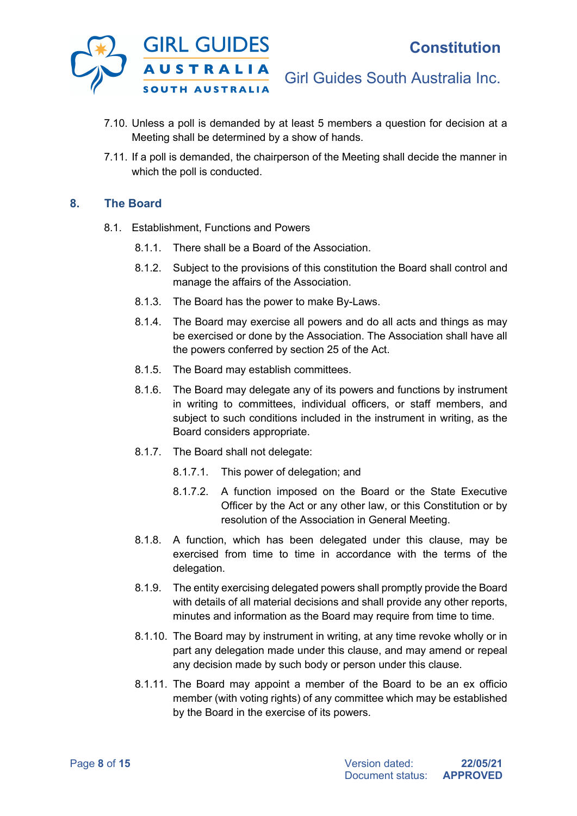

- 7.10. Unless a poll is demanded by at least 5 members a question for decision at a Meeting shall be determined by a show of hands.
- 7.11. If a poll is demanded, the chairperson of the Meeting shall decide the manner in which the poll is conducted.

## **8. The Board**

- 8.1. Establishment, Functions and Powers
	- 8.1.1. There shall be a Board of the Association.
	- 8.1.2. Subject to the provisions of this constitution the Board shall control and manage the affairs of the Association.
	- 8.1.3. The Board has the power to make By-Laws.
	- 8.1.4. The Board may exercise all powers and do all acts and things as may be exercised or done by the Association. The Association shall have all the powers conferred by section 25 of the Act.
	- 8.1.5. The Board may establish committees.
	- 8.1.6. The Board may delegate any of its powers and functions by instrument in writing to committees, individual officers, or staff members, and subject to such conditions included in the instrument in writing, as the Board considers appropriate.
	- 8.1.7. The Board shall not delegate:
		- 8.1.7.1. This power of delegation; and
		- 8.1.7.2. A function imposed on the Board or the State Executive Officer by the Act or any other law, or this Constitution or by resolution of the Association in General Meeting.
	- 8.1.8. A function, which has been delegated under this clause, may be exercised from time to time in accordance with the terms of the delegation.
	- 8.1.9. The entity exercising delegated powers shall promptly provide the Board with details of all material decisions and shall provide any other reports, minutes and information as the Board may require from time to time.
	- 8.1.10. The Board may by instrument in writing, at any time revoke wholly or in part any delegation made under this clause, and may amend or repeal any decision made by such body or person under this clause.
	- 8.1.11. The Board may appoint a member of the Board to be an ex officio member (with voting rights) of any committee which may be established by the Board in the exercise of its powers.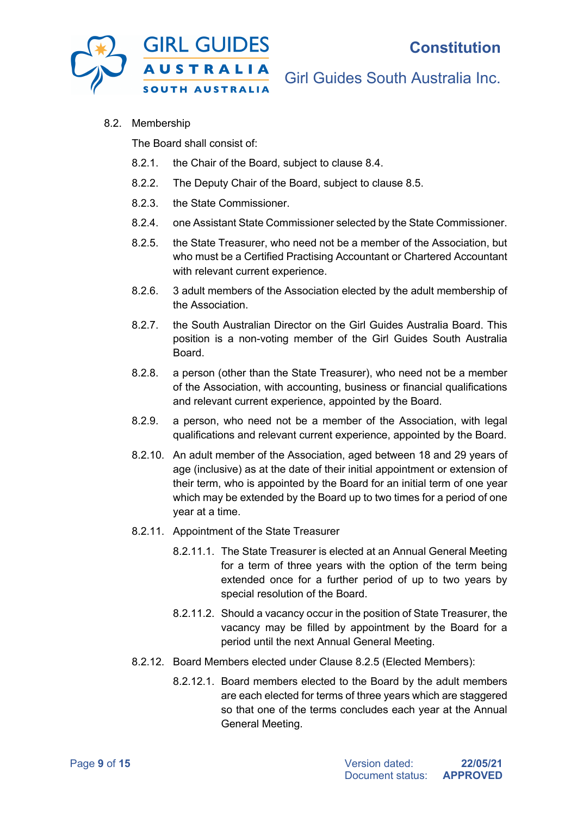

8.2. Membership

The Board shall consist of:

- 8.2.1. the Chair of the Board, subject to clause 8.4.
- 8.2.2. The Deputy Chair of the Board, subject to clause 8.5.
- 8.2.3. the State Commissioner.
- 8.2.4. one Assistant State Commissioner selected by the State Commissioner.
- 8.2.5. the State Treasurer, who need not be a member of the Association, but who must be a Certified Practising Accountant or Chartered Accountant with relevant current experience.
- 8.2.6. 3 adult members of the Association elected by the adult membership of the Association.
- 8.2.7. the South Australian Director on the Girl Guides Australia Board. This position is a non-voting member of the Girl Guides South Australia Board.
- 8.2.8. a person (other than the State Treasurer), who need not be a member of the Association, with accounting, business or financial qualifications and relevant current experience, appointed by the Board.
- 8.2.9. a person, who need not be a member of the Association, with legal qualifications and relevant current experience, appointed by the Board.
- 8.2.10. An adult member of the Association, aged between 18 and 29 years of age (inclusive) as at the date of their initial appointment or extension of their term, who is appointed by the Board for an initial term of one year which may be extended by the Board up to two times for a period of one year at a time.
- 8.2.11. Appointment of the State Treasurer
	- 8.2.11.1. The State Treasurer is elected at an Annual General Meeting for a term of three years with the option of the term being extended once for a further period of up to two years by special resolution of the Board.
	- 8.2.11.2. Should a vacancy occur in the position of State Treasurer, the vacancy may be filled by appointment by the Board for a period until the next Annual General Meeting.
- 8.2.12. Board Members elected under Clause 8.2.5 (Elected Members):
	- 8.2.12.1. Board members elected to the Board by the adult members are each elected for terms of three years which are staggered so that one of the terms concludes each year at the Annual General Meeting.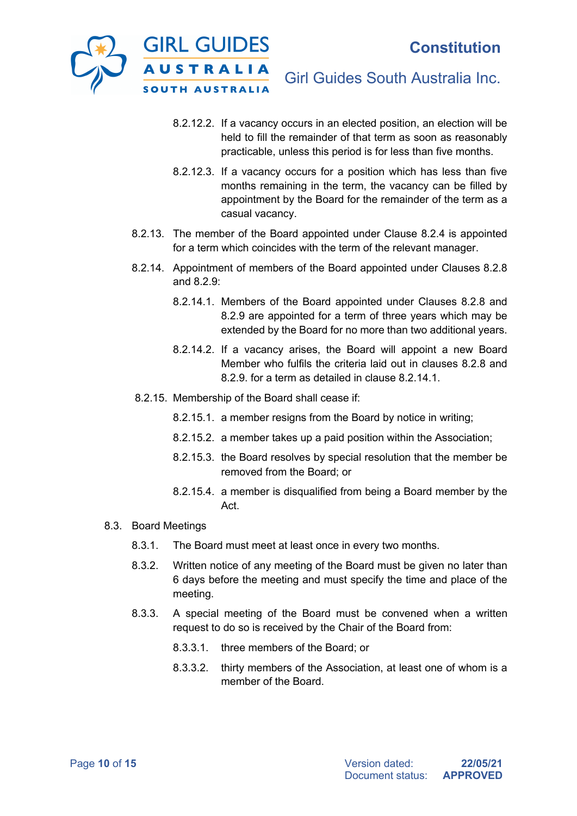

- 8.2.12.2. If a vacancy occurs in an elected position, an election will be held to fill the remainder of that term as soon as reasonably practicable, unless this period is for less than five months.
- 8.2.12.3. If a vacancy occurs for a position which has less than five months remaining in the term, the vacancy can be filled by appointment by the Board for the remainder of the term as a casual vacancy.
- 8.2.13. The member of the Board appointed under Clause 8.2.4 is appointed for a term which coincides with the term of the relevant manager.
- 8.2.14. Appointment of members of the Board appointed under Clauses 8.2.8 and 8.2.9:
	- 8.2.14.1. Members of the Board appointed under Clauses 8.2.8 and 8.2.9 are appointed for a term of three years which may be extended by the Board for no more than two additional years.
	- 8.2.14.2. If a vacancy arises, the Board will appoint a new Board Member who fulfils the criteria laid out in clauses 8.2.8 and 8.2.9. for a term as detailed in clause 8.2.14.1.
- 8.2.15. Membership of the Board shall cease if:
	- 8.2.15.1. a member resigns from the Board by notice in writing;
	- 8.2.15.2. a member takes up a paid position within the Association;
	- 8.2.15.3. the Board resolves by special resolution that the member be removed from the Board; or
	- 8.2.15.4. a member is disqualified from being a Board member by the Act.
- 8.3. Board Meetings
	- 8.3.1. The Board must meet at least once in every two months.
	- 8.3.2. Written notice of any meeting of the Board must be given no later than 6 days before the meeting and must specify the time and place of the meeting.
	- 8.3.3. A special meeting of the Board must be convened when a written request to do so is received by the Chair of the Board from:
		- 8.3.3.1. three members of the Board; or
		- 8.3.3.2. thirty members of the Association, at least one of whom is a member of the Board.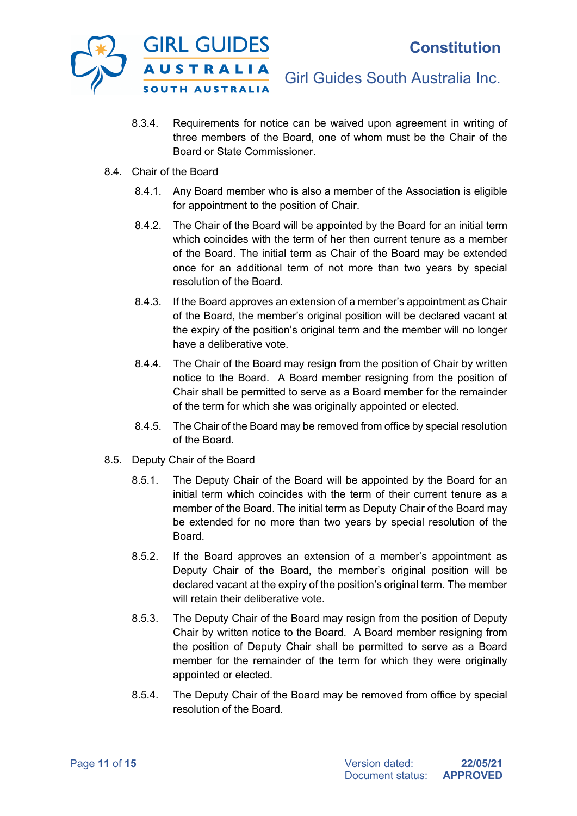

- 8.3.4. Requirements for notice can be waived upon agreement in writing of three members of the Board, one of whom must be the Chair of the Board or State Commissioner.
- 8.4. Chair of the Board
	- 8.4.1. Any Board member who is also a member of the Association is eligible for appointment to the position of Chair.
	- 8.4.2. The Chair of the Board will be appointed by the Board for an initial term which coincides with the term of her then current tenure as a member of the Board. The initial term as Chair of the Board may be extended once for an additional term of not more than two years by special resolution of the Board.
	- 8.4.3. If the Board approves an extension of a member's appointment as Chair of the Board, the member's original position will be declared vacant at the expiry of the position's original term and the member will no longer have a deliberative vote.
	- 8.4.4. The Chair of the Board may resign from the position of Chair by written notice to the Board. A Board member resigning from the position of Chair shall be permitted to serve as a Board member for the remainder of the term for which she was originally appointed or elected.
	- 8.4.5. The Chair of the Board may be removed from office by special resolution of the Board.
- 8.5. Deputy Chair of the Board
	- 8.5.1. The Deputy Chair of the Board will be appointed by the Board for an initial term which coincides with the term of their current tenure as a member of the Board. The initial term as Deputy Chair of the Board may be extended for no more than two years by special resolution of the Board.
	- 8.5.2. If the Board approves an extension of a member's appointment as Deputy Chair of the Board, the member's original position will be declared vacant at the expiry of the position's original term. The member will retain their deliberative vote.
	- 8.5.3. The Deputy Chair of the Board may resign from the position of Deputy Chair by written notice to the Board. A Board member resigning from the position of Deputy Chair shall be permitted to serve as a Board member for the remainder of the term for which they were originally appointed or elected.
	- 8.5.4. The Deputy Chair of the Board may be removed from office by special resolution of the Board.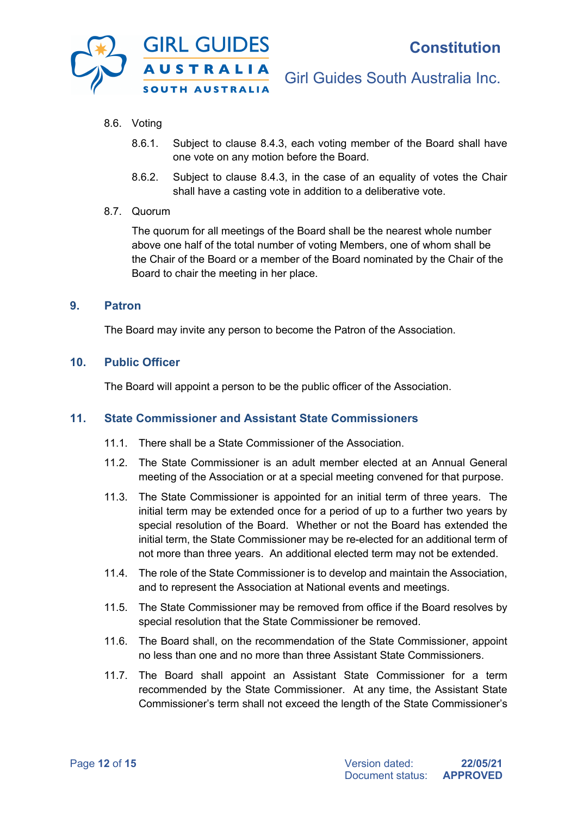

- 8.6. Voting
	- 8.6.1. Subject to clause 8.4.3, each voting member of the Board shall have one vote on any motion before the Board.
	- 8.6.2. Subject to clause 8.4.3, in the case of an equality of votes the Chair shall have a casting vote in addition to a deliberative vote.

#### 8.7. Quorum

The quorum for all meetings of the Board shall be the nearest whole number above one half of the total number of voting Members, one of whom shall be the Chair of the Board or a member of the Board nominated by the Chair of the Board to chair the meeting in her place.

#### **9. Patron**

The Board may invite any person to become the Patron of the Association.

#### **10. Public Officer**

The Board will appoint a person to be the public officer of the Association.

## **11. State Commissioner and Assistant State Commissioners**

- 11.1. There shall be a State Commissioner of the Association.
- 11.2. The State Commissioner is an adult member elected at an Annual General meeting of the Association or at a special meeting convened for that purpose.
- 11.3. The State Commissioner is appointed for an initial term of three years. The initial term may be extended once for a period of up to a further two years by special resolution of the Board. Whether or not the Board has extended the initial term, the State Commissioner may be re-elected for an additional term of not more than three years. An additional elected term may not be extended.
- 11.4. The role of the State Commissioner is to develop and maintain the Association, and to represent the Association at National events and meetings.
- 11.5. The State Commissioner may be removed from office if the Board resolves by special resolution that the State Commissioner be removed.
- 11.6. The Board shall, on the recommendation of the State Commissioner, appoint no less than one and no more than three Assistant State Commissioners.
- 11.7. The Board shall appoint an Assistant State Commissioner for a term recommended by the State Commissioner. At any time, the Assistant State Commissioner's term shall not exceed the length of the State Commissioner's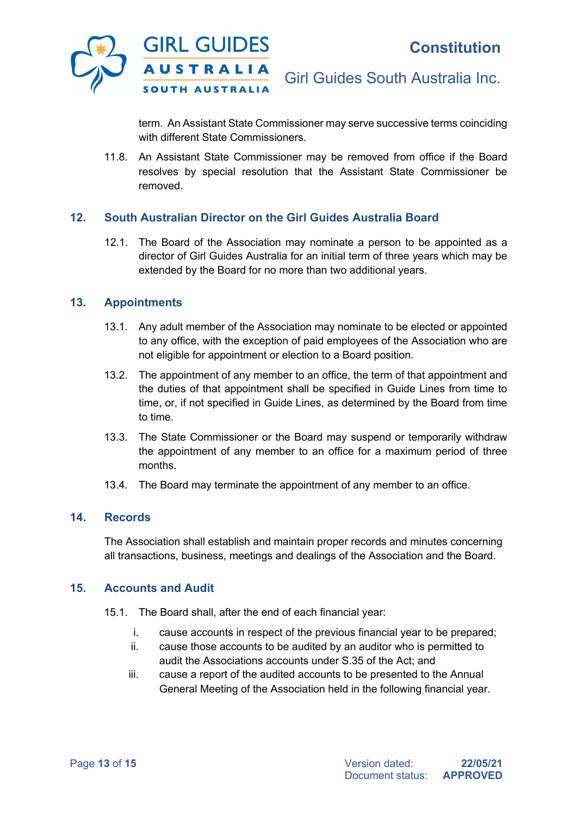

term. An Assistant State Commissioner may serve successive terms coinciding with different State Commissioners.

11.8. An Assistant State Commissioner may be removed from office if the Board resolves by special resolution that the Assistant State Commissioner be removed.

## **12. South Australian Director on the Girl Guides Australia Board**

12.1. The Board of the Association may nominate a person to be appointed as a director of Girl Guides Australia for an initial term of three years which may be extended by the Board for no more than two additional years.

#### **13. Appointments**

- 13.1. Any adult member of the Association may nominate to be elected or appointed to any office, with the exception of paid employees of the Association who are not eligible for appointment or election to a Board position.
- 13.2. The appointment of any member to an office, the term of that appointment and the duties of that appointment shall be specified in Guide Lines from time to time, or, if not specified in Guide Lines, as determined by the Board from time to time.
- 13.3. The State Commissioner or the Board may suspend or temporarily withdraw the appointment of any member to an office for a maximum period of three months.
- 13.4. The Board may terminate the appointment of any member to an office.

## **14. Records**

The Association shall establish and maintain proper records and minutes concerning all transactions, business, meetings and dealings of the Association and the Board.

#### **15. Accounts and Audit**

- 15.1. The Board shall, after the end of each financial year:
	- i. cause accounts in respect of the previous financial year to be prepared;
	- ii. cause those accounts to be audited by an auditor who is permitted to audit the Associations accounts under S.35 of the Act; and
	- iii. cause a report of the audited accounts to be presented to the Annual General Meeting of the Association held in the following financial year.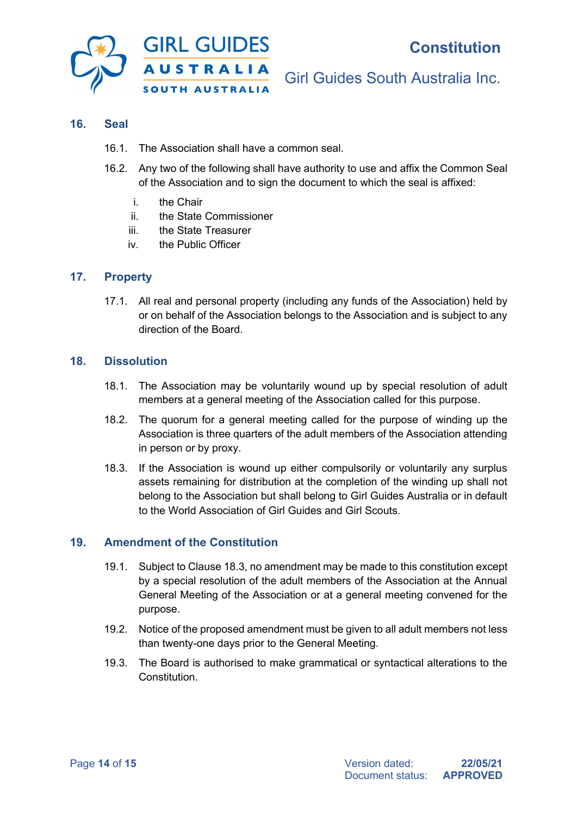

#### **16. Seal**

- 16.1. The Association shall have a common seal.
- 16.2. Any two of the following shall have authority to use and affix the Common Seal of the Association and to sign the document to which the seal is affixed:
	- i. the Chair
	- ii. the State Commissioner
	- iii. the State Treasurer
	- iv. the Public Officer

## **17. Property**

17.1. All real and personal property (including any funds of the Association) held by or on behalf of the Association belongs to the Association and is subject to any direction of the Board.

#### **18. Dissolution**

- 18.1. The Association may be voluntarily wound up by special resolution of adult members at a general meeting of the Association called for this purpose.
- 18.2. The quorum for a general meeting called for the purpose of winding up the Association is three quarters of the adult members of the Association attending in person or by proxy.
- 18.3. If the Association is wound up either compulsorily or voluntarily any surplus assets remaining for distribution at the completion of the winding up shall not belong to the Association but shall belong to Girl Guides Australia or in default to the World Association of Girl Guides and Girl Scouts.

## **19. Amendment of the Constitution**

- 19.1. Subject to Clause 18.3, no amendment may be made to this constitution except by a special resolution of the adult members of the Association at the Annual General Meeting of the Association or at a general meeting convened for the purpose.
- 19.2. Notice of the proposed amendment must be given to all adult members not less than twenty-one days prior to the General Meeting.
- 19.3. The Board is authorised to make grammatical or syntactical alterations to the Constitution.